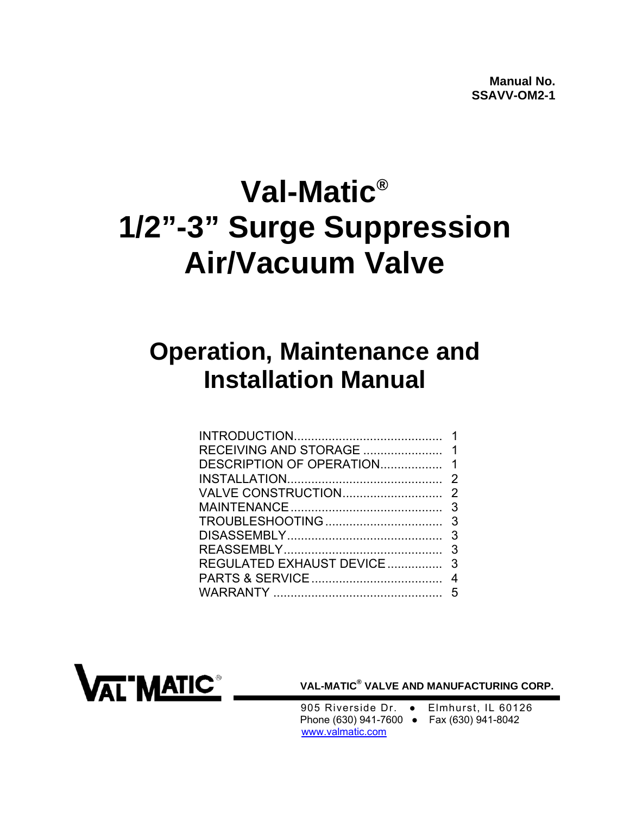# **Val-Matic® 1/2"-3" Surge Suppression Air/Vacuum Valve**

## **Operation, Maintenance and Installation Manual**



**VAL-MATIC® VALVE AND MANUFACTURING CORP.** 

 905 Riverside Dr. ● Elmhurst, IL 60126 Phone (630) 941-7600 ● Fax (630) 941-8042 www.valmatic.com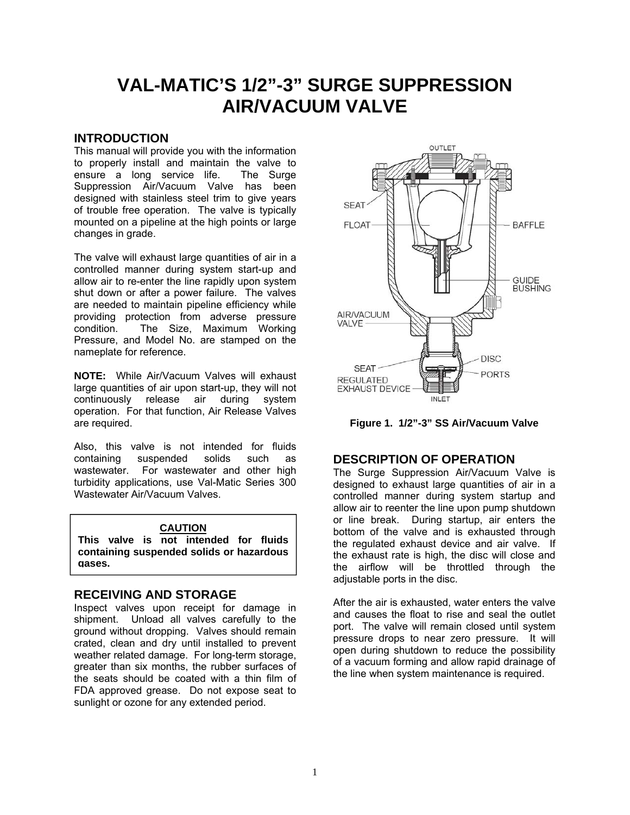### <span id="page-1-0"></span>**VAL-MATIC'S 1/2"-3" SURGE SUPPRESSION AIR/VACUUM VALVE**

#### **INTRODUCTION**

This manual will provide you with the information to properly install and maintain the valve to ensure a long service life. The Surge Suppression Air/Vacuum Valve has been designed with stainless steel trim to give years of trouble free operation. The valve is typically mounted on a pipeline at the high points or large changes in grade.

The valve will exhaust large quantities of air in a controlled manner during system start-up and allow air to re-enter the line rapidly upon system shut down or after a power failure. The valves are needed to maintain pipeline efficiency while providing protection from adverse pressure condition. The Size, Maximum Working Pressure, and Model No. are stamped on the nameplate for reference.

**NOTE:** While Air/Vacuum Valves will exhaust large quantities of air upon start-up, they will not continuously release air during system operation. For that function, Air Release Valves are required.

Also, this valve is not intended for fluids containing suspended solids such as wastewater. For wastewater and other high turbidity applications, use Val-Matic Series 300 Wastewater Air/Vacuum Valves.

#### **CAUTION**

**This valve is not intended for fluids containing suspended solids or hazardous gases.**

#### **RECEIVING AND STORAGE**

Inspect valves upon receipt for damage in shipment. Unload all valves carefully to the ground without dropping. Valves should remain crated, clean and dry until installed to prevent weather related damage. For long-term storage, greater than six months, the rubber surfaces of the seats should be coated with a thin film of FDA approved grease. Do not expose seat to sunlight or ozone for any extended period.



**Figure 1. 1/2"-3" SS Air/Vacuum Valve** 

#### **DESCRIPTION OF OPERATION**

The Surge Suppression Air/Vacuum Valve is designed to exhaust large quantities of air in a controlled manner during system startup and allow air to reenter the line upon pump shutdown or line break. During startup, air enters the bottom of the valve and is exhausted through the regulated exhaust device and air valve. If the exhaust rate is high, the disc will close and the airflow will be throttled through the adjustable ports in the disc.

After the air is exhausted, water enters the valve and causes the float to rise and seal the outlet port. The valve will remain closed until system pressure drops to near zero pressure. It will open during shutdown to reduce the possibility of a vacuum forming and allow rapid drainage of the line when system maintenance is required.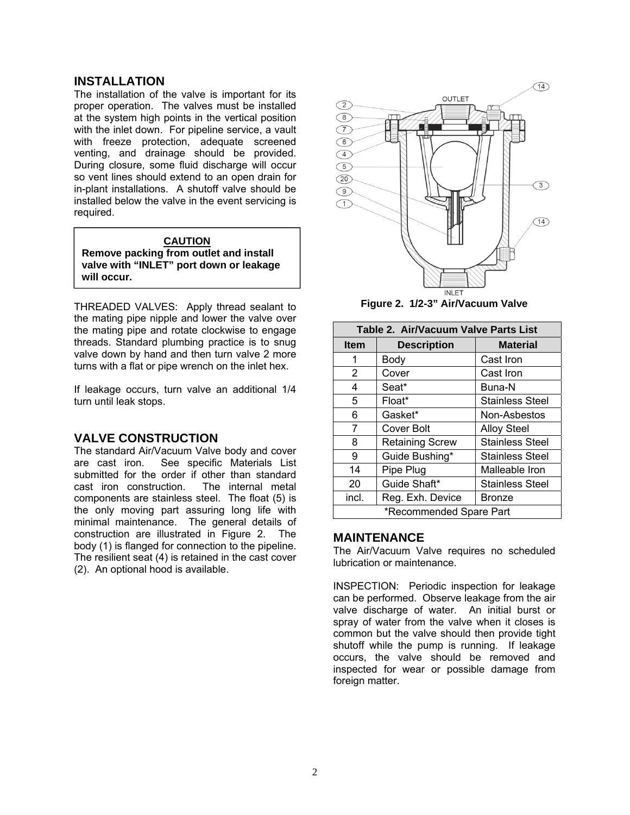#### <span id="page-2-0"></span>**INSTALLATION**

The installation of the valve is important for its proper operation. The valves must be installed at the system high points in the vertical position with the inlet down. For pipeline service, a vault with freeze protection, adequate screened venting, and drainage should be provided. During closure, some fluid discharge will occur so vent lines should extend to an open drain for in-plant installations. A shutoff valve should be installed below the valve in the event servicing is required.

#### **CAUTION**

**Remove packing from outlet and install valve with "INLET" port down or leakage will occur.**

THREADED VALVES: Apply thread sealant to the mating pipe nipple and lower the valve over the mating pipe and rotate clockwise to engage threads. Standard plumbing practice is to snug valve down by hand and then turn valve 2 more turns with a flat or pipe wrench on the inlet hex.

If leakage occurs, turn valve an additional 1/4 turn until leak stops.

#### **VALVE CONSTRUCTION**

The standard Air/Vacuum Valve body and cover are cast iron. See specific Materials List submitted for the order if other than standard cast iron construction. The internal metal components are stainless steel. The float (5) is the only moving part assuring long life with minimal maintenance. The general details of construction are illustrated in Figure 2. The body (1) is flanged for connection to the pipeline. The resilient seat (4) is retained in the cast cover (2). An optional hood is available.



**Figure 2. 1/2-3" Air/Vacuum Valve** 

| Table 2. Air/Vacuum Valve Parts List |                        |                        |  |
|--------------------------------------|------------------------|------------------------|--|
| <b>Item</b>                          | <b>Description</b>     | <b>Material</b>        |  |
| 1                                    | Body                   | Cast Iron              |  |
| 2                                    | Cover                  | Cast Iron              |  |
| 4                                    | Seat*                  | Buna-N                 |  |
| 5                                    | Float*                 | <b>Stainless Steel</b> |  |
| 6                                    | Gasket*                | Non-Asbestos           |  |
| 7                                    | Cover Bolt             | <b>Alloy Steel</b>     |  |
| 8                                    | <b>Retaining Screw</b> | <b>Stainless Steel</b> |  |
| 9                                    | Guide Bushing*         | Stainless Steel        |  |
| 14                                   | Pipe Plug              | Malleable Iron         |  |
| 20                                   | Guide Shaft*           | <b>Stainless Steel</b> |  |
| incl.                                | Reg. Exh. Device       | <b>Bronze</b>          |  |
| *Recommended Spare Part              |                        |                        |  |

#### **MAINTENANCE**

The Air/Vacuum Valve requires no scheduled lubrication or maintenance.

INSPECTION: Periodic inspection for leakage can be performed. Observe leakage from the air valve discharge of water. An initial burst or spray of water from the valve when it closes is common but the valve should then provide tight shutoff while the pump is running. If leakage occurs, the valve should be removed and inspected for wear or possible damage from foreign matter.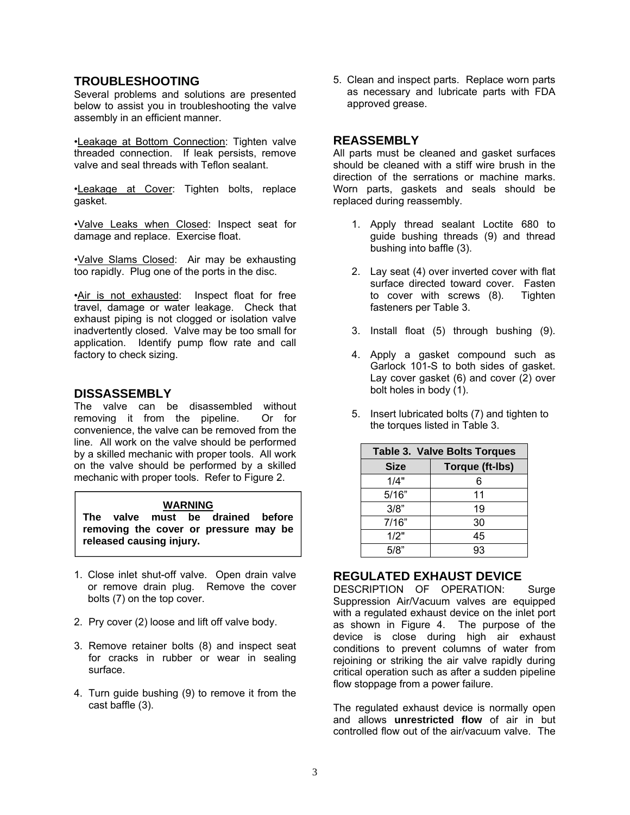#### <span id="page-3-0"></span>**TROUBLESHOOTING**

Several problems and solutions are presented below to assist you in troubleshooting the valve assembly in an efficient manner.

•Leakage at Bottom Connection: Tighten valve threaded connection. If leak persists, remove valve and seal threads with Teflon sealant.

•Leakage at Cover: Tighten bolts, replace gasket.

•Valve Leaks when Closed: Inspect seat for damage and replace. Exercise float.

•Valve Slams Closed: Air may be exhausting too rapidly. Plug one of the ports in the disc.

•Air is not exhausted: Inspect float for free travel, damage or water leakage. Check that exhaust piping is not clogged or isolation valve inadvertently closed. Valve may be too small for application. Identify pump flow rate and call factory to check sizing.

#### **DISSASSEMBLY**

The valve can be disassembled without removing it from the pipeline. Or for convenience, the valve can be removed from the line. All work on the valve should be performed by a skilled mechanic with proper tools. All work on the valve should be performed by a skilled mechanic with proper tools. Refer to Figure 2.

#### **WARNING**

**The valve must be drained before removing the cover or pressure may be released causing injury.**

- 1. Close inlet shut-off valve. Open drain valve or remove drain plug. Remove the cover bolts (7) on the top cover.
- 2. Pry cover (2) loose and lift off valve body.
- 3. Remove retainer bolts (8) and inspect seat for cracks in rubber or wear in sealing surface.
- 4. Turn guide bushing (9) to remove it from the cast baffle (3).

5. Clean and inspect parts. Replace worn parts as necessary and lubricate parts with FDA approved grease.

#### **REASSEMBLY**

All parts must be cleaned and gasket surfaces should be cleaned with a stiff wire brush in the direction of the serrations or machine marks. Worn parts, gaskets and seals should be replaced during reassembly.

- 1. Apply thread sealant Loctite 680 to guide bushing threads (9) and thread bushing into baffle (3).
- 2. Lay seat (4) over inverted cover with flat surface directed toward cover. Fasten<br>to cover with screws (8). Tighten to cover with screws  $(8)$ . fasteners per Table 3.
- 3. Install float (5) through bushing (9).
- 4. Apply a gasket compound such as Garlock 101-S to both sides of gasket. Lay cover gasket (6) and cover (2) over bolt holes in body (1).
- 5. Insert lubricated bolts (7) and tighten to the torques listed in Table 3.

| <b>Table 3. Valve Bolts Torques</b> |                 |  |
|-------------------------------------|-----------------|--|
| <b>Size</b>                         | Torque (ft-lbs) |  |
| 1/4"                                | 6               |  |
| 5/16"                               | 11              |  |
| 3/8"                                | 19              |  |
| 7/16"                               | 30              |  |
| 1/2"                                | 45              |  |
| 5/8"                                | 93              |  |

#### **REGULATED EXHAUST DEVICE**

DESCRIPTION OF OPERATION: Surge Suppression Air/Vacuum valves are equipped with a regulated exhaust device on the inlet port as shown in Figure 4. The purpose of the device is close during high air exhaust conditions to prevent columns of water from rejoining or striking the air valve rapidly during critical operation such as after a sudden pipeline flow stoppage from a power failure.

The regulated exhaust device is normally open and allows **unrestricted flow** of air in but controlled flow out of the air/vacuum valve. The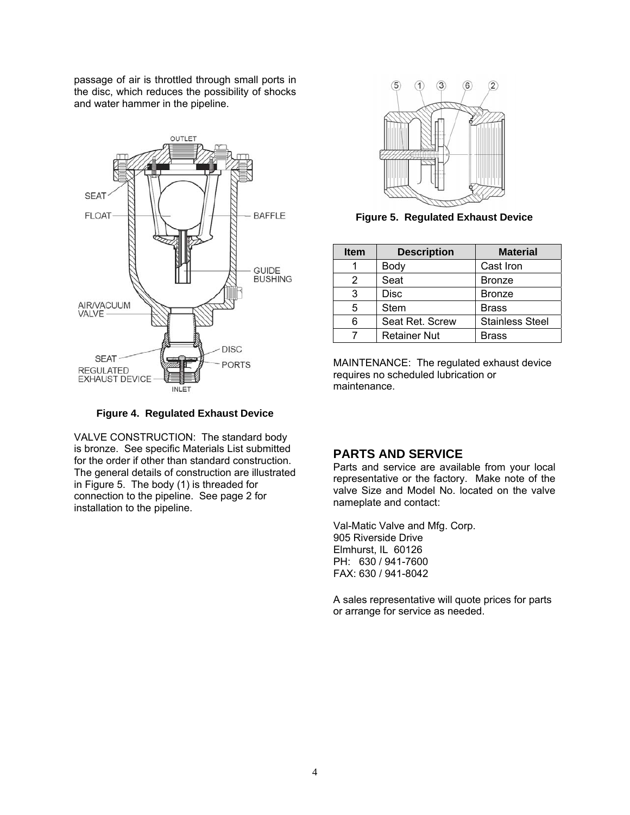<span id="page-4-0"></span>passage of air is throttled through small ports in the disc, which reduces the possibility of shocks and water hammer in the pipeline.



**Figure 4. Regulated Exhaust Device** 

VALVE CONSTRUCTION: The standard body is bronze. See specific Materials List submitted for the order if other than standard construction. The general details of construction are illustrated in Figure 5. The body (1) is threaded for connection to the pipeline. See page 2 for installation to the pipeline.



**Figure 5. Regulated Exhaust Device** 

| <b>Item</b> | <b>Description</b>  | <b>Material</b>        |
|-------------|---------------------|------------------------|
|             | Body                | Cast Iron              |
| 2           | Seat                | <b>Bronze</b>          |
| 3           | Disc                | <b>Bronze</b>          |
| 5           | <b>Stem</b>         | <b>Brass</b>           |
| 6           | Seat Ret. Screw     | <b>Stainless Steel</b> |
|             | <b>Retainer Nut</b> | Brass                  |

MAINTENANCE: The regulated exhaust device requires no scheduled lubrication or maintenance.

#### **PARTS AND SERVICE**

Parts and service are available from your local representative or the factory. Make note of the valve Size and Model No. located on the valve nameplate and contact:

Val-Matic Valve and Mfg. Corp. 905 Riverside Drive Elmhurst, IL 60126 PH: 630 / 941-7600 FAX: 630 / 941-8042

A sales representative will quote prices for parts or arrange for service as needed.